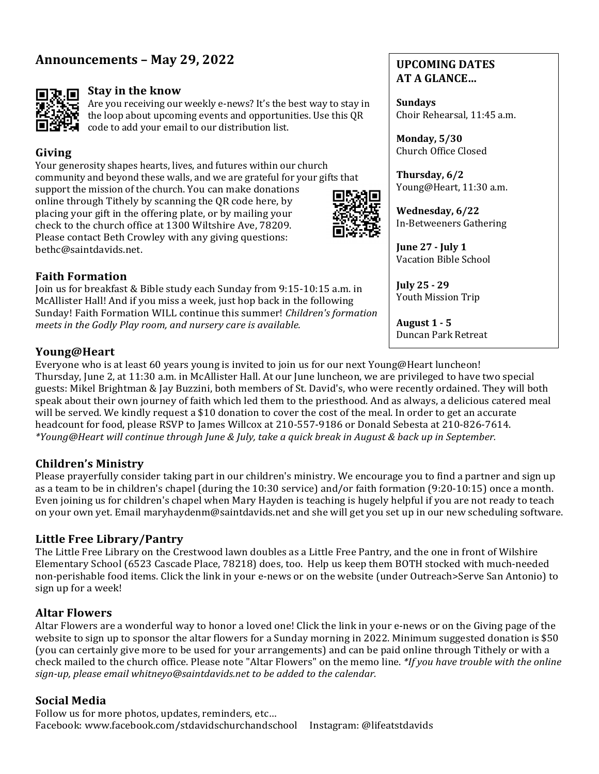# Announcements – May 29, 2022



### **Stay in the know**

Are you receiving our weekly e-news? It's the best way to stay in the loop about upcoming events and opportunities. Use this QR code to add your email to our distribution list.

## **Giving**

Your generosity shapes hearts, lives, and futures within our church community and beyond these walls, and we are grateful for your gifts that support the mission of the church. You can make donations online through Tithely by scanning the QR code here, by placing your gift in the offering plate, or by mailing your check to the church office at 1300 Wiltshire Ave, 78209. Please contact Beth Crowley with any giving questions: bethc@saintdavids.net.



### **UPCOMING DATES AT A GLANCE…**

**Sundays** Choir Rehearsal, 11:45 a.m.

**Monday, 5/30** Church Office Closed

**Thursday, 6/2** Young@Heart, 11:30 a.m.

**Wednesday, 6/22** In-Betweeners Gathering

**June 27 - July 1** Vacation Bible School

**July 25 - 29** Youth Mission Trip

**August 1 - 5** Duncan Park Retreat

## **Faith Formation**

Join us for breakfast & Bible study each Sunday from 9:15-10:15 a.m. in McAllister Hall! And if you miss a week, just hop back in the following Sunday! Faith Formation WILL continue this summer! *Children's formation meets in the Godly Play room, and nursery care is available.* 

## **Young@Heart**

Everyone who is at least 60 years young is invited to join us for our next Young@Heart luncheon! Thursday, June 2, at 11:30 a.m. in McAllister Hall. At our June luncheon, we are privileged to have two special guests: Mikel Brightman & Jay Buzzini, both members of St. David's, who were recently ordained. They will both speak about their own journey of faith which led them to the priesthood. And as always, a delicious catered meal will be served. We kindly request a \$10 donation to cover the cost of the meal. In order to get an accurate headcount for food, please RSVP to James Willcox at 210-557-9186 or Donald Sebesta at 210-826-7614. *\*Young@Heart will continue through June & July, take a quick break in August & back up in September.*

## **Children's Ministry**

Please prayerfully consider taking part in our children's ministry. We encourage you to find a partner and sign up as a team to be in children's chapel (during the  $10:30$  service) and/or faith formation  $(9:20-10:15)$  once a month. Even joining us for children's chapel when Mary Hayden is teaching is hugely helpful if you are not ready to teach on your own yet. Email maryhaydenm@saintdavids.net and she will get you set up in our new scheduling software.

## **Little Free Library/Pantry**

The Little Free Library on the Crestwood lawn doubles as a Little Free Pantry, and the one in front of Wilshire Elementary School (6523 Cascade Place, 78218) does, too. Help us keep them BOTH stocked with much-needed non-perishable food items. Click the link in your e-news or on the website (under Outreach>Serve San Antonio) to sign up for a week!

## **Altar Flowers**

Altar Flowers are a wonderful way to honor a loved one! Click the link in your e-news or on the Giving page of the website to sign up to sponsor the altar flowers for a Sunday morning in 2022. Minimum suggested donation is \$50 (you can certainly give more to be used for your arrangements) and can be paid online through Tithely or with a check mailed to the church office. Please note "Altar Flowers" on the memo line. *\*If you have trouble with the online* sign-up, please email whitneyo@saintdavids.net to be added to the calendar.

## **Social Media**

Follow us for more photos, updates, reminders, etc... Facebook: www.facebook.com/stdavidschurchandschool Instagram: @lifeatstdavids